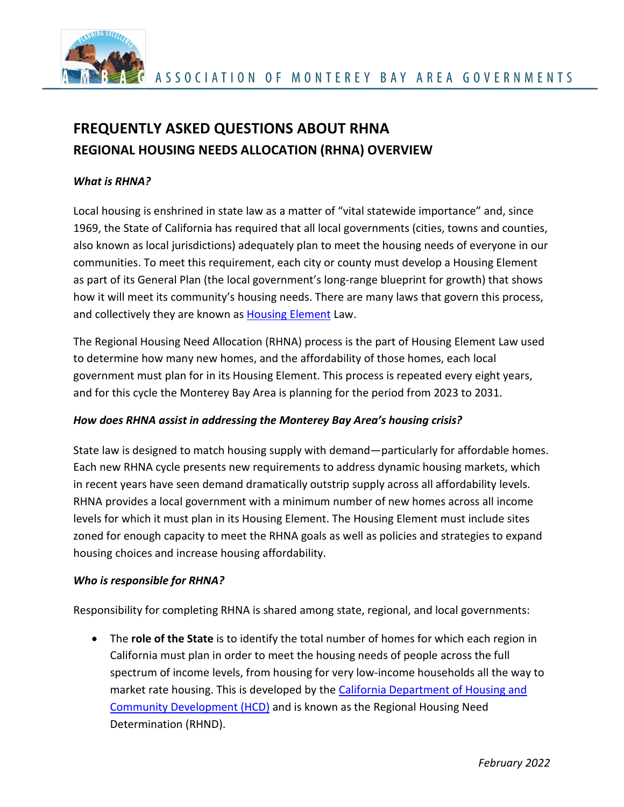

# **FREQUENTLY ASKED QUESTIONS ABOUT RHNA REGIONAL HOUSING NEEDS ALLOCATION (RHNA) OVERVIEW**

#### *What is RHNA?*

Local housing is enshrined in state law as a matter of "vital statewide importance" and, since 1969, the State of California has required that all local governments (cities, towns and counties, also known as local jurisdictions) adequately plan to meet the housing needs of everyone in our communities. To meet this requirement, each city or county must develop a Housing Element as part of its General Plan (the local government's long-range blueprint for growth) that shows how it will meet its community's housing needs. There are many laws that govern this process, and collectively they are known as **Housing Element** Law.

The Regional Housing Need Allocation (RHNA) process is the part of Housing Element Law used to determine how many new homes, and the affordability of those homes, each local government must plan for in its Housing Element. This process is repeated every eight years, and for this cycle the Monterey Bay Area is planning for the period from 2023 to 2031.

#### *How does RHNA assist in addressing the Monterey Bay Area's housing crisis?*

State law is designed to match housing supply with demand—particularly for affordable homes. Each new RHNA cycle presents new requirements to address dynamic housing markets, which in recent years have seen demand dramatically outstrip supply across all affordability levels. RHNA provides a local government with a minimum number of new homes across all income levels for which it must plan in its Housing Element. The Housing Element must include sites zoned for enough capacity to meet the RHNA goals as well as policies and strategies to expand housing choices and increase housing affordability.

#### *Who is responsible for RHNA?*

Responsibility for completing RHNA is shared among state, regional, and local governments:

• The **role of the State** is to identify the total number of homes for which each region in California must plan in order to meet the housing needs of people across the full spectrum of income levels, from housing for very low-income households all the way to market rate housing. This is developed by the [California Department of Housing and](https://www.hcd.ca.gov/community-development/rhna/index.shtml)  [Community Development \(HCD\)](https://www.hcd.ca.gov/community-development/rhna/index.shtml) and is known as the Regional Housing Need Determination (RHND).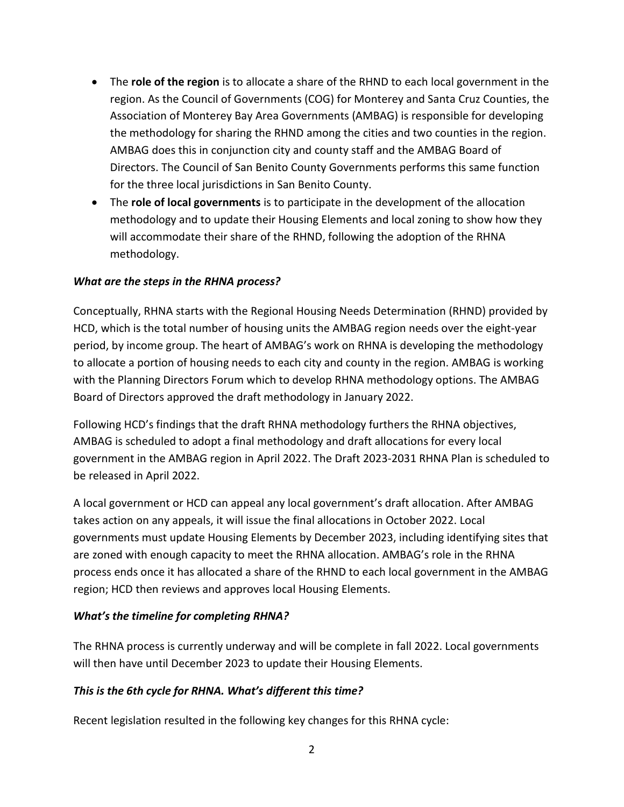- The **role of the region** is to allocate a share of the RHND to each local government in the region. As the Council of Governments (COG) for Monterey and Santa Cruz Counties, the Association of Monterey Bay Area Governments (AMBAG) is responsible for developing the methodology for sharing the RHND among the cities and two counties in the region. AMBAG does this in conjunction city and county staff and the AMBAG Board of Directors. The Council of San Benito County Governments performs this same function for the three local jurisdictions in San Benito County.
- The **role of local governments** is to participate in the development of the allocation methodology and to update their Housing Elements and local zoning to show how they will accommodate their share of the RHND, following the adoption of the RHNA methodology.

#### *What are the steps in the RHNA process?*

Conceptually, RHNA starts with the Regional Housing Needs Determination (RHND) provided by HCD, which is the total number of housing units the AMBAG region needs over the eight-year period, by income group. The heart of AMBAG's work on RHNA is developing the methodology to allocate a portion of housing needs to each city and county in the region. AMBAG is working with the Planning Directors Forum which to develop RHNA methodology options. The AMBAG Board of Directors approved the draft methodology in January 2022.

Following HCD's findings that the draft RHNA methodology furthers the RHNA objectives, AMBAG is scheduled to adopt a final methodology and draft allocations for every local government in the AMBAG region in April 2022. The Draft 2023-2031 RHNA Plan is scheduled to be released in April 2022.

A local government or HCD can appeal any local government's draft allocation. After AMBAG takes action on any appeals, it will issue the final allocations in October 2022. Local governments must update Housing Elements by December 2023, including identifying sites that are zoned with enough capacity to meet the RHNA allocation. AMBAG's role in the RHNA process ends once it has allocated a share of the RHND to each local government in the AMBAG region; HCD then reviews and approves local Housing Elements.

#### *What's the timeline for completing RHNA?*

The RHNA process is currently underway and will be complete in fall 2022. Local governments will then have until December 2023 to update their Housing Elements.

#### *This is the 6th cycle for RHNA. What's different this time?*

Recent legislation resulted in the following key changes for this RHNA cycle: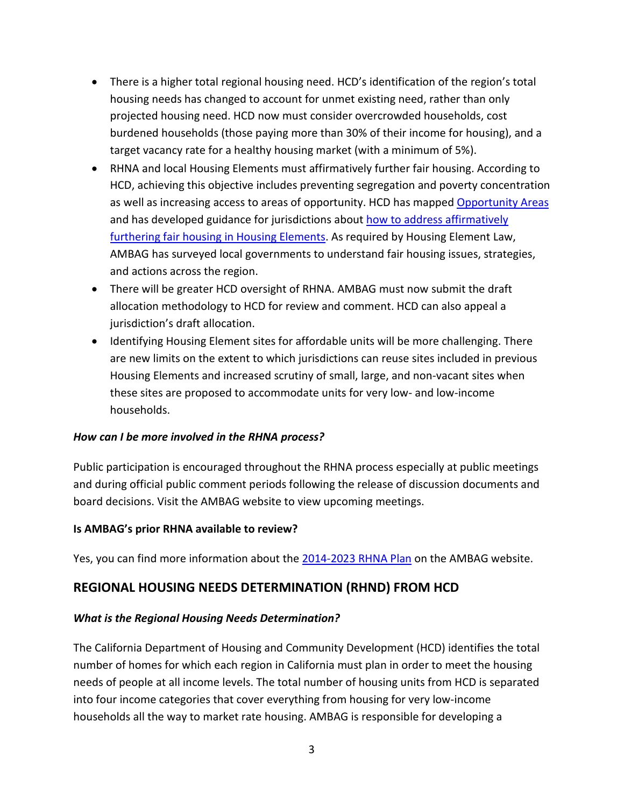- There is a higher total regional housing need. HCD's identification of the region's total housing needs has changed to account for unmet existing need, rather than only projected housing need. HCD now must consider overcrowded households, cost burdened households (those paying more than 30% of their income for housing), and a target vacancy rate for a healthy housing market (with a minimum of 5%).
- RHNA and local Housing Elements must affirmatively further fair housing. According to HCD, achieving this objective includes preventing segregation and poverty concentration as well as increasing access to areas of opportunity. HCD has mapped [Opportunity Areas](https://www.treasurer.ca.gov/ctcac/opportunity.asp) and has developed guidance for jurisdictions about [how to address affirmatively](https://www.hcd.ca.gov/community-development/housing-element/housing-element-memos/docs/ab686_summaryhousingelementfinal_04222020.pdf)  [furthering fair housing in Housing Elements.](https://www.hcd.ca.gov/community-development/housing-element/housing-element-memos/docs/ab686_summaryhousingelementfinal_04222020.pdf) As required by Housing Element Law, AMBAG has surveyed local governments to understand fair housing issues, strategies, and actions across the region.
- There will be greater HCD oversight of RHNA. AMBAG must now submit the draft allocation methodology to HCD for review and comment. HCD can also appeal a jurisdiction's draft allocation.
- Identifying Housing Element sites for affordable units will be more challenging. There are new limits on the extent to which jurisdictions can reuse sites included in previous Housing Elements and increased scrutiny of small, large, and non-vacant sites when these sites are proposed to accommodate units for very low- and low-income households.

#### *How can I be more involved in the RHNA process?*

Public participation is encouraged throughout the RHNA process especially at public meetings and during official public comment periods following the release of discussion documents and board decisions. Visit the AMBAG website to view upcoming meetings.

#### **Is AMBAG's prior RHNA available to review?**

Yes, you can find more information about the [2014-2023 RHNA](https://ambag.org/sites/default/files/2019-12/RHNP%202014-2023_Final_revised_PDFA_2.pdf) Plan on the AMBAG website.

# **REGIONAL HOUSING NEEDS DETERMINATION (RHND) FROM HCD**

#### *What is the Regional Housing Needs Determination?*

The California Department of Housing and Community Development (HCD) identifies the total number of homes for which each region in California must plan in order to meet the housing needs of people at all income levels. The total number of housing units from HCD is separated into four income categories that cover everything from housing for very low-income households all the way to market rate housing. AMBAG is responsible for developing a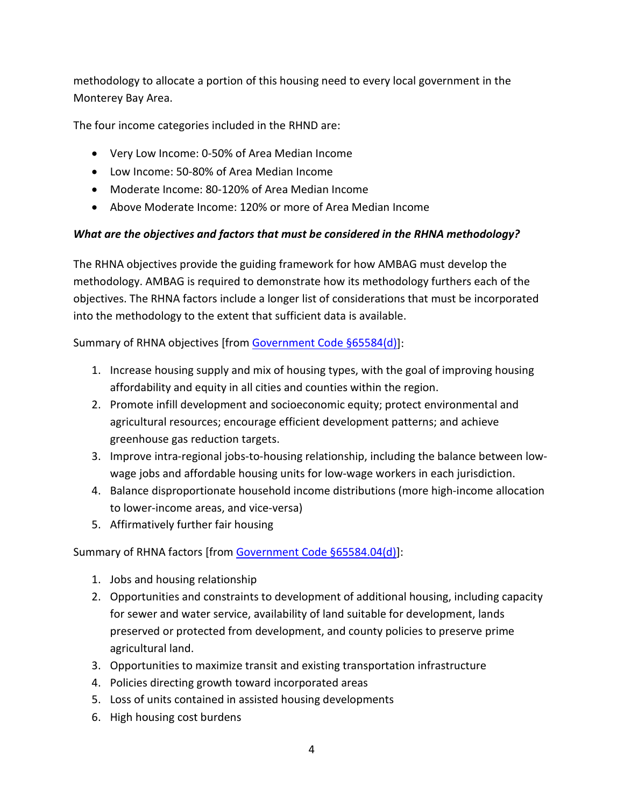methodology to allocate a portion of this housing need to every local government in the Monterey Bay Area.

The four income categories included in the RHND are:

- Very Low Income: 0-50% of Area Median Income
- Low Income: 50-80% of Area Median Income
- Moderate Income: 80-120% of Area Median Income
- Above Moderate Income: 120% or more of Area Median Income

# *What are the objectives and factors that must be considered in the RHNA methodology?*

The RHNA objectives provide the guiding framework for how AMBAG must develop the methodology. AMBAG is required to demonstrate how its methodology furthers each of the objectives. The RHNA factors include a longer list of considerations that must be incorporated into the methodology to the extent that sufficient data is available.

Summary of RHNA objectives [from [Government Code §65584\(d\)\]](https://leginfo.legislature.ca.gov/faces/codes_displaySection.xhtml?lawCode=GOV§ionNum=65584.):

- 1. Increase housing supply and mix of housing types, with the goal of improving housing affordability and equity in all cities and counties within the region.
- 2. Promote infill development and socioeconomic equity; protect environmental and agricultural resources; encourage efficient development patterns; and achieve greenhouse gas reduction targets.
- 3. Improve intra-regional jobs-to-housing relationship, including the balance between lowwage jobs and affordable housing units for low-wage workers in each jurisdiction.
- 4. Balance disproportionate household income distributions (more high-income allocation to lower-income areas, and vice-versa)
- 5. Affirmatively further fair housing

Summary of RHNA factors [fro[m Government Code §65584.04\(d\)\]](https://leginfo.legislature.ca.gov/faces/codes_displaySection.xhtml?lawCode=GOV§ionNum=65584.04.):

- 1. Jobs and housing relationship
- 2. Opportunities and constraints to development of additional housing, including capacity for sewer and water service, availability of land suitable for development, lands preserved or protected from development, and county policies to preserve prime agricultural land.
- 3. Opportunities to maximize transit and existing transportation infrastructure
- 4. Policies directing growth toward incorporated areas
- 5. Loss of units contained in assisted housing developments
- 6. High housing cost burdens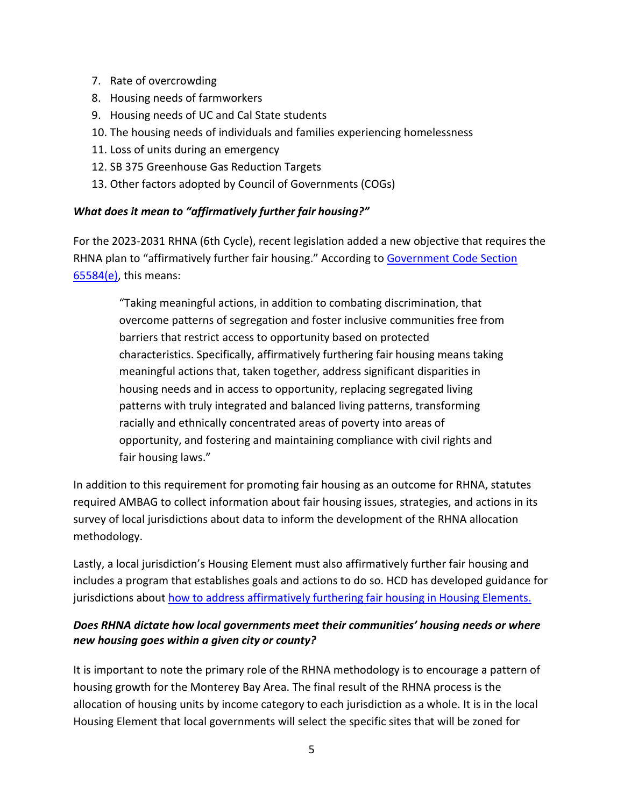- 7. Rate of overcrowding
- 8. Housing needs of farmworkers
- 9. Housing needs of UC and Cal State students
- 10. The housing needs of individuals and families experiencing homelessness
- 11. Loss of units during an emergency
- 12. SB 375 Greenhouse Gas Reduction Targets
- 13. Other factors adopted by Council of Governments (COGs)

# *What does it mean to "affirmatively further fair housing?"*

For the 2023-2031 RHNA (6th Cycle), recent legislation added a new objective that requires the RHNA plan to "affirmatively further fair housing." According t[o Government Code Section](https://leginfo.legislature.ca.gov/faces/codes_displaySection.xhtml?lawCode=GOV§ionNum=65584.04.)  [65584\(e\),](https://leginfo.legislature.ca.gov/faces/codes_displaySection.xhtml?lawCode=GOV§ionNum=65584.04.) this means:

"Taking meaningful actions, in addition to combating discrimination, that overcome patterns of segregation and foster inclusive communities free from barriers that restrict access to opportunity based on protected characteristics. Specifically, affirmatively furthering fair housing means taking meaningful actions that, taken together, address significant disparities in housing needs and in access to opportunity, replacing segregated living patterns with truly integrated and balanced living patterns, transforming racially and ethnically concentrated areas of poverty into areas of opportunity, and fostering and maintaining compliance with civil rights and fair housing laws."

In addition to this requirement for promoting fair housing as an outcome for RHNA, statutes required AMBAG to collect information about fair housing issues, strategies, and actions in its survey of local jurisdictions about data to inform the development of the RHNA allocation methodology.

Lastly, a local jurisdiction's Housing Element must also affirmatively further fair housing and includes a program that establishes goals and actions to do so. HCD has developed guidance for jurisdictions about how to address affirmatively furthering fair housing in Housing Elements.

# *Does RHNA dictate how local governments meet their communities' housing needs or where new housing goes within a given city or county?*

It is important to note the primary role of the RHNA methodology is to encourage a pattern of housing growth for the Monterey Bay Area. The final result of the RHNA process is the allocation of housing units by income category to each jurisdiction as a whole. It is in the local Housing Element that local governments will select the specific sites that will be zoned for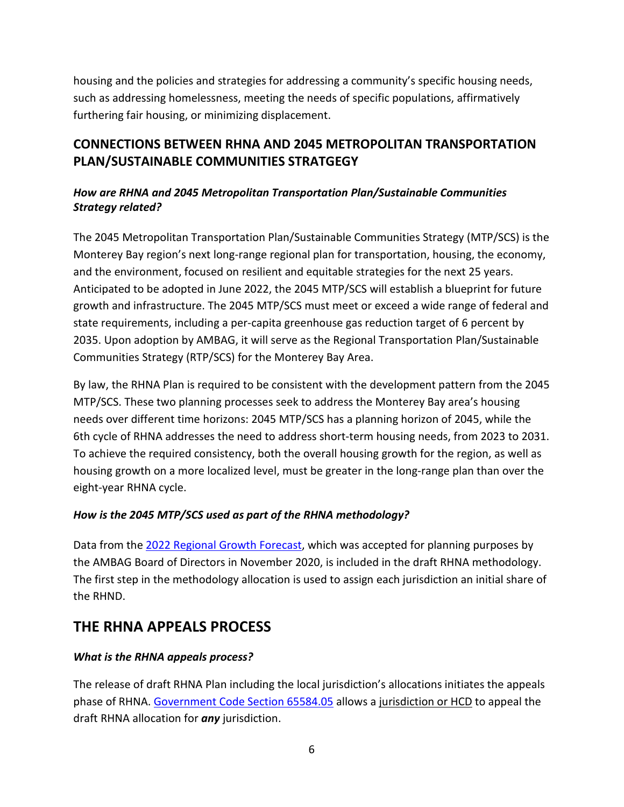housing and the policies and strategies for addressing a community's specific housing needs, such as addressing homelessness, meeting the needs of specific populations, affirmatively furthering fair housing, or minimizing displacement.

# **CONNECTIONS BETWEEN RHNA AND 2045 METROPOLITAN TRANSPORTATION PLAN/SUSTAINABLE COMMUNITIES STRATGEGY**

# *How are RHNA and 2045 Metropolitan Transportation Plan/Sustainable Communities Strategy related?*

The 2045 Metropolitan Transportation Plan/Sustainable Communities Strategy (MTP/SCS) is the Monterey Bay region's next long-range regional plan for transportation, housing, the economy, and the environment, focused on resilient and equitable strategies for the next 25 years. Anticipated to be adopted in June 2022, the 2045 MTP/SCS will establish a blueprint for future growth and infrastructure. The 2045 MTP/SCS must meet or exceed a wide range of federal and state requirements, including a per-capita greenhouse gas reduction target of 6 percent by 2035. Upon adoption by AMBAG, it will serve as the Regional Transportation Plan/Sustainable Communities Strategy (RTP/SCS) for the Monterey Bay Area.

By law, the RHNA Plan is required to be consistent with the development pattern from the 2045 MTP/SCS. These two planning processes seek to address the Monterey Bay area's housing needs over different time horizons: 2045 MTP/SCS has a planning horizon of 2045, while the 6th cycle of RHNA addresses the need to address short-term housing needs, from 2023 to 2031. To achieve the required consistency, both the overall housing growth for the region, as well as housing growth on a more localized level, must be greater in the long-range plan than over the eight-year RHNA cycle.

# *How is the 2045 MTP/SCS used as part of the RHNA methodology?*

Data from the [2022 Regional Growth Forecast,](https://ambag.org/sites/default/files/2021-11/PDFAAppendix%20A_2022%20RGF.pdf) which was accepted for planning purposes by the AMBAG Board of Directors in November 2020, is included in the draft RHNA methodology. The first step in the methodology allocation is used to assign each jurisdiction an initial share of the RHND.

# **THE RHNA APPEALS PROCESS**

# *What is the RHNA appeals process?*

The release of draft RHNA Plan including the local jurisdiction's allocations initiates the appeals phase of RHNA. [Government Code Section 65584.05](https://leginfo.legislature.ca.gov/faces/codes_displaySection.xhtml?lawCode=GOV§ionNum=65584.05.) allows a jurisdiction or HCD to appeal the draft RHNA allocation for *any* jurisdiction.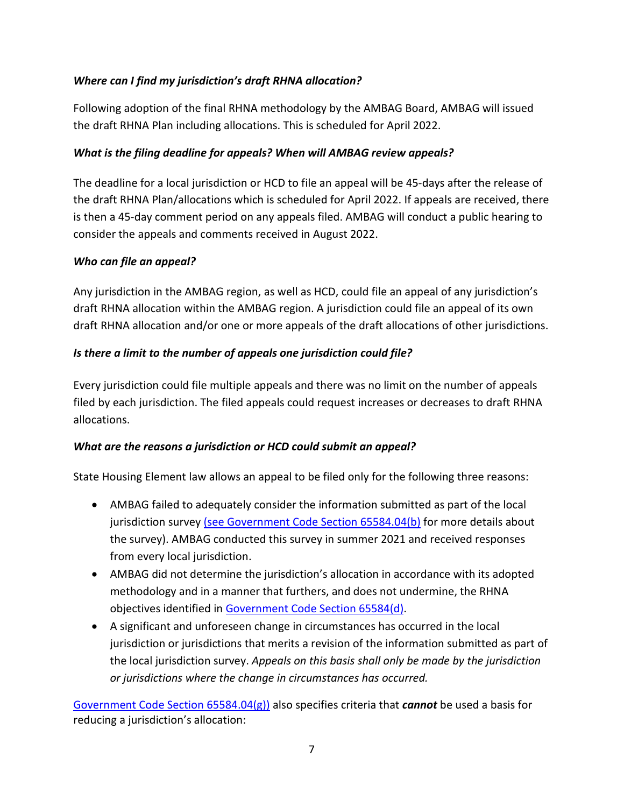# *Where can I find my jurisdiction's draft RHNA allocation?*

Following adoption of the final RHNA methodology by the AMBAG Board, AMBAG will issued the draft RHNA Plan including allocations. This is scheduled for April 2022.

#### *What is the filing deadline for appeals? When will AMBAG review appeals?*

The deadline for a local jurisdiction or HCD to file an appeal will be 45-days after the release of the draft RHNA Plan/allocations which is scheduled for April 2022. If appeals are received, there is then a 45-day comment period on any appeals filed. AMBAG will conduct a public hearing to consider the appeals and comments received in August 2022.

#### *Who can file an appeal?*

Any jurisdiction in the AMBAG region, as well as HCD, could file an appeal of any jurisdiction's draft RHNA allocation within the AMBAG region. A jurisdiction could file an appeal of its own draft RHNA allocation and/or one or more appeals of the draft allocations of other jurisdictions.

# *Is there a limit to the number of appeals one jurisdiction could file?*

Every jurisdiction could file multiple appeals and there was no limit on the number of appeals filed by each jurisdiction. The filed appeals could request increases or decreases to draft RHNA allocations.

#### *What are the reasons a jurisdiction or HCD could submit an appeal?*

State Housing Element law allows an appeal to be filed only for the following three reasons:

- AMBAG failed to adequately consider the information submitted as part of the local jurisdiction survey (see [Government Code Section 65584.04\(b\)](https://leginfo.legislature.ca.gov/faces/codes_displaySection.xhtml?lawCode=GOV§ionNum=65584.04.) for more details about the survey). AMBAG conducted this survey in summer 2021 and received responses from every local jurisdiction.
- AMBAG did not determine the jurisdiction's allocation in accordance with its adopted methodology and in a manner that furthers, and does not undermine, the RHNA objectives identified in [Government Code Section 65584\(d\).](https://leginfo.legislature.ca.gov/faces/codes_displaySection.xhtml?lawCode=GOV§ionNum=65584.04.)
- A significant and unforeseen change in circumstances has occurred in the local jurisdiction or jurisdictions that merits a revision of the information submitted as part of the local jurisdiction survey. *Appeals on this basis shall only be made by the jurisdiction or jurisdictions where the change in circumstances has occurred.*

[Government Code Section 65584.04\(g\)\)](https://leginfo.legislature.ca.gov/faces/codes_displaySection.xhtml?lawCode=GOV§ionNum=65584.04.) also specifies criteria that *cannot* be used a basis for reducing a jurisdiction's allocation: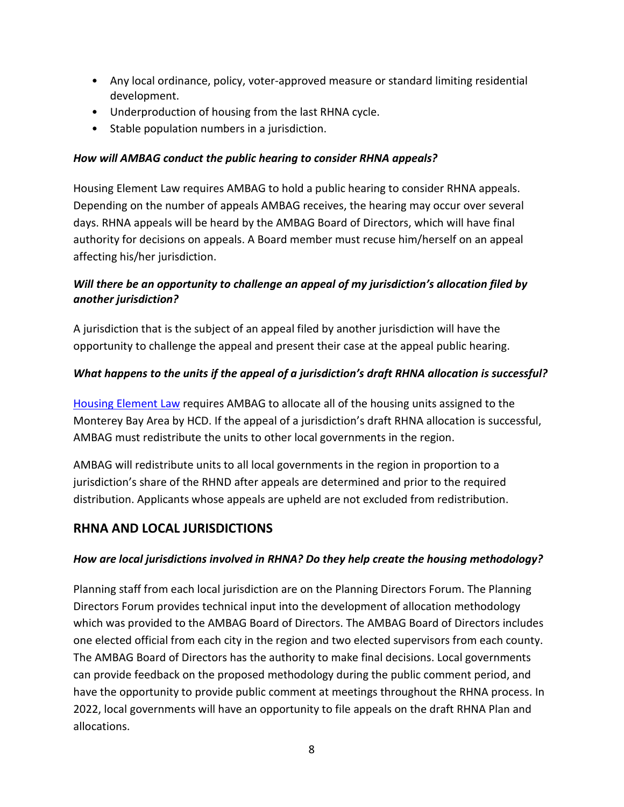- Any local ordinance, policy, voter-approved measure or standard limiting residential development.
- Underproduction of housing from the last RHNA cycle.
- Stable population numbers in a jurisdiction.

# *How will AMBAG conduct the public hearing to consider RHNA appeals?*

Housing Element Law requires AMBAG to hold a public hearing to consider RHNA appeals. Depending on the number of appeals AMBAG receives, the hearing may occur over several days. RHNA appeals will be heard by the AMBAG Board of Directors, which will have final authority for decisions on appeals. A Board member must recuse him/herself on an appeal affecting his/her jurisdiction.

# *Will there be an opportunity to challenge an appeal of my jurisdiction's allocation filed by another jurisdiction?*

A jurisdiction that is the subject of an appeal filed by another jurisdiction will have the opportunity to challenge the appeal and present their case at the appeal public hearing.

# *What happens to the units if the appeal of a jurisdiction's draft RHNA allocation is successful?*

[Housing Element Law](https://leginfo.legislature.ca.gov/faces/codes_displayText.xhtml?lawCode=GOV&division=1.&title=7.&part=&chapter=3.&article=10.6.) requires AMBAG to allocate all of the housing units assigned to the Monterey Bay Area by HCD. If the appeal of a jurisdiction's draft RHNA allocation is successful, AMBAG must redistribute the units to other local governments in the region.

AMBAG will redistribute units to all local governments in the region in proportion to a jurisdiction's share of the RHND after appeals are determined and prior to the required distribution. Applicants whose appeals are upheld are not excluded from redistribution.

# **RHNA AND LOCAL JURISDICTIONS**

#### *How are local jurisdictions involved in RHNA? Do they help create the housing methodology?*

Planning staff from each local jurisdiction are on the Planning Directors Forum. The Planning Directors Forum provides technical input into the development of allocation methodology which was provided to the AMBAG Board of Directors. The AMBAG Board of Directors includes one elected official from each city in the region and two elected supervisors from each county. The AMBAG Board of Directors has the authority to make final decisions. Local governments can provide feedback on the proposed methodology during the public comment period, and have the opportunity to provide public comment at meetings throughout the RHNA process. In 2022, local governments will have an opportunity to file appeals on the draft RHNA Plan and allocations.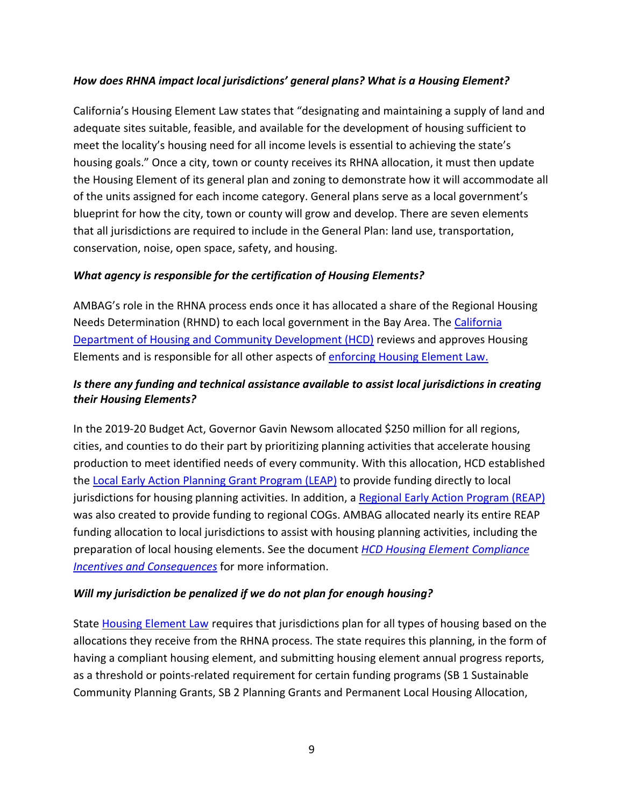#### *How does RHNA impact local jurisdictions' general plans? What is a Housing Element?*

California's Housing Element Law states that "designating and maintaining a supply of land and adequate sites suitable, feasible, and available for the development of housing sufficient to meet the locality's housing need for all income levels is essential to achieving the state's housing goals." Once a city, town or county receives its RHNA allocation, it must then update the Housing Element of its general plan and zoning to demonstrate how it will accommodate all of the units assigned for each income category. General plans serve as a local government's blueprint for how the city, town or county will grow and develop. There are seven elements that all jurisdictions are required to include in the General Plan: land use, transportation, conservation, noise, open space, safety, and housing.

# *What agency is responsible for the certification of Housing Elements?*

AMBAG's role in the RHNA process ends once it has allocated a share of the Regional Housing Needs Determination (RHND) to each local government in the Bay Area. The [California](https://www.hcd.ca.gov/community-development/housing-element/index.shtml)  [Department of Housing and Community Development \(HCD\)](https://www.hcd.ca.gov/community-development/housing-element/index.shtml) reviews and approves Housing Elements and is responsible for all other aspects of [enforcing Housing Element Law.](https://www.hcd.ca.gov/community-development/accountability-enforcement.shtml)

# *Is there any funding and technical assistance available to assist local jurisdictions in creating their Housing Elements?*

In the 2019-20 Budget Act, Governor Gavin Newsom allocated \$250 million for all regions, cities, and counties to do their part by prioritizing planning activities that accelerate housing production to meet identified needs of every community. With this allocation, HCD established the [Local Early Action Planning Grant Program \(LEAP\)](https://www.hcd.ca.gov/grants-funding/active-funding/leap.shtml) to provide funding directly to local jurisdictions for housing planning activities. In addition, a [Regional Early Action Program \(REAP\)](https://www.hcd.ca.gov/grants-funding/active-funding/reap.shtml) was also created to provide funding to regional COGs. AMBAG allocated nearly its entire REAP funding allocation to local jurisdictions to assist with housing planning activities, including the preparation of local housing elements. See the document *[HCD Housing Element Compliance](https://abag.ca.gov/sites/default/files/documents/2021-04/HE_Compliance_One-Pager.pdf)  [Incentives and Consequences](https://abag.ca.gov/sites/default/files/documents/2021-04/HE_Compliance_One-Pager.pdf)* for more information.

#### *Will my jurisdiction be penalized if we do not plan for enough housing?*

State [Housing Element Law](https://leginfo.legislature.ca.gov/faces/codes_displayText.xhtml?lawCode=GOV&division=1.&title=7.&part=&chapter=3.&article=10.6.) requires that jurisdictions plan for all types of housing based on the allocations they receive from the RHNA process. The state requires this planning, in the form of having a compliant housing element, and submitting housing element annual progress reports, as a threshold or points-related requirement for certain funding programs (SB 1 Sustainable Community Planning Grants, SB 2 Planning Grants and Permanent Local Housing Allocation,